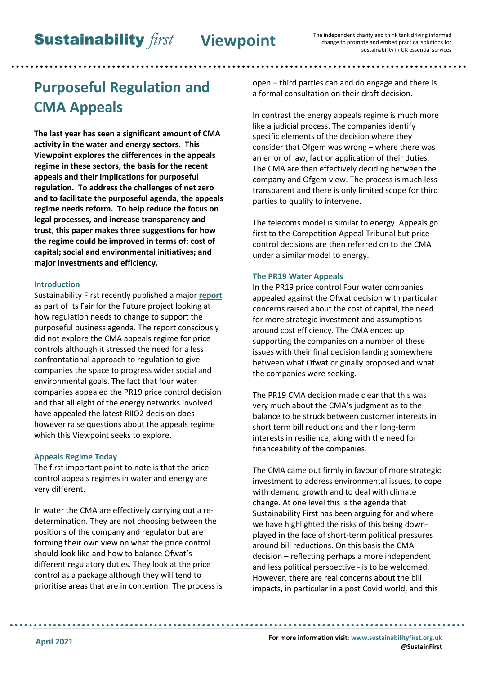# **Purposeful Regulation and CMA Appeals**

**The last year has seen a significant amount of CMA activity in the water and energy sectors. This Viewpoint explores the differences in the appeals regime in these sectors, the basis for the recent appeals and their implications for purposeful regulation. To address the challenges of net zero and to facilitate the purposeful agenda, the appeals regime needs reform. To help reduce the focus on legal processes, and increase transparency and trust, this paper makes three suggestions for how the regime could be improved in terms of: cost of capital; social and environmental initiatives; and major investments and efficiency.**

### **Introduction**

Sustainability First recently published a major **[report](https://www.sustainabilityfirst.org.uk/publications-project-research-reports/242-regulation-for-the-future)** as part of its Fair for the Future project looking at how regulation needs to change to support the purposeful business agenda. The report consciously did not explore the CMA appeals regime for price controls although it stressed the need for a less confrontational approach to regulation to give companies the space to progress wider social and environmental goals. The fact that four water companies appealed the PR19 price control decision and that all eight of the energy networks involved have appealed the latest RIIO2 decision does however raise questions about the appeals regime which this Viewpoint seeks to explore.

### **Appeals Regime Today**

The first important point to note is that the price control appeals regimes in water and energy are very different.

In water the CMA are effectively carrying out a redetermination. They are not choosing between the positions of the company and regulator but are forming their own view on what the price control should look like and how to balance Ofwat's different regulatory duties. They look at the price control as a package although they will tend to prioritise areas that are in contention. The process is open – third parties can and do engage and there is a formal consultation on their draft decision.

In contrast the energy appeals regime is much more like a judicial process. The companies identify specific elements of the decision where they consider that Ofgem was wrong – where there was an error of law, fact or application of their duties. The CMA are then effectively deciding between the company and Ofgem view. The process is much less transparent and there is only limited scope for third parties to qualify to intervene.

The telecoms model is similar to energy. Appeals go first to the Competition Appeal Tribunal but price control decisions are then referred on to the CMA under a similar model to energy.

### **The PR19 Water Appeals**

In the PR19 price control Four water companies appealed against the Ofwat decision with particular concerns raised about the cost of capital, the need for more strategic investment and assumptions around cost efficiency. The CMA ended up supporting the companies on a number of these issues with their final decision landing somewhere between what Ofwat originally proposed and what the companies were seeking.

The PR19 CMA decision made clear that this was very much about the CMA's judgment as to the balance to be struck between customer interests in short term bill reductions and their long-term interests in resilience, along with the need for financeability of the companies.

The CMA came out firmly in favour of more strategic investment to address environmental issues, to cope with demand growth and to deal with climate change. At one level this is the agenda that Sustainability First has been arguing for and where we have highlighted the risks of this being downplayed in the face of short-term political pressures around bill reductions. On this basis the CMA decision – reflecting perhaps a more independent and less political perspective - is to be welcomed. However, there are real concerns about the bill impacts, in particular in a post Covid world, and this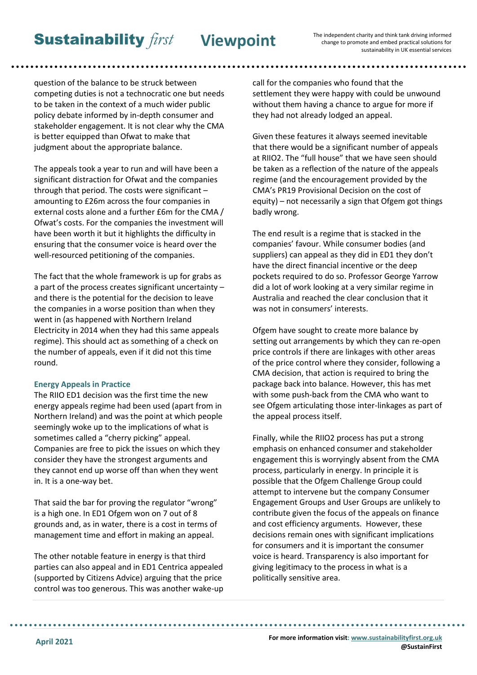**Sustainability** first Viewpoint

The independent charity and think tank driving informed change to promote and embed practical solutions for

. . . . . . . . . . . . . . . . . . .

question of the balance to be struck between competing duties is not a technocratic one but needs to be taken in the context of a much wider public policy debate informed by in-depth consumer and stakeholder engagement. It is not clear why the CMA is better equipped than Ofwat to make that judgment about the appropriate balance.

The appeals took a year to run and will have been a significant distraction for Ofwat and the companies through that period. The costs were significant – amounting to £26m across the four companies in external costs alone and a further £6m for the CMA / Ofwat's costs. For the companies the investment will have been worth it but it highlights the difficulty in ensuring that the consumer voice is heard over the well-resourced petitioning of the companies.

The fact that the whole framework is up for grabs as a part of the process creates significant uncertainty – and there is the potential for the decision to leave the companies in a worse position than when they went in (as happened with Northern Ireland Electricity in 2014 when they had this same appeals regime). This should act as something of a check on the number of appeals, even if it did not this time round.

### **Energy Appeals in Practice**

The RIIO ED1 decision was the first time the new energy appeals regime had been used (apart from in Northern Ireland) and was the point at which people seemingly woke up to the implications of what is sometimes called a "cherry picking" appeal. Companies are free to pick the issues on which they consider they have the strongest arguments and they cannot end up worse off than when they went in. It is a one-way bet.

That said the bar for proving the regulator "wrong" is a high one. In ED1 Ofgem won on 7 out of 8 grounds and, as in water, there is a cost in terms of management time and effort in making an appeal.

The other notable feature in energy is that third parties can also appeal and in ED1 Centrica appealed (supported by Citizens Advice) arguing that the price control was too generous. This was another wake-up

call for the companies who found that the settlement they were happy with could be unwound without them having a chance to argue for more if they had not already lodged an appeal.

Given these features it always seemed inevitable that there would be a significant number of appeals at RIIO2. The "full house" that we have seen should be taken as a reflection of the nature of the appeals regime (and the encouragement provided by the CMA's PR19 Provisional Decision on the cost of equity) – not necessarily a sign that Ofgem got things badly wrong.

The end result is a regime that is stacked in the companies' favour. While consumer bodies (and suppliers) can appeal as they did in ED1 they don't have the direct financial incentive or the deep pockets required to do so. Professor George Yarrow did a lot of work looking at a very similar regime in Australia and reached the clear conclusion that it was not in consumers' interests.

Ofgem have sought to create more balance by setting out arrangements by which they can re-open price controls if there are linkages with other areas of the price control where they consider, following a CMA decision, that action is required to bring the package back into balance. However, this has met with some push-back from the CMA who want to see Ofgem articulating those inter-linkages as part of the appeal process itself.

Finally, while the RIIO2 process has put a strong emphasis on enhanced consumer and stakeholder engagement this is worryingly absent from the CMA process, particularly in energy. In principle it is possible that the Ofgem Challenge Group could attempt to intervene but the company Consumer Engagement Groups and User Groups are unlikely to contribute given the focus of the appeals on finance and cost efficiency arguments. However, these decisions remain ones with significant implications for consumers and it is important the consumer voice is heard. Transparency is also important for giving legitimacy to the process in what is a politically sensitive area.

**For more information visit[: www.sustainabilityfirst.org.uk](http://www.sustainabilityfirst.org.uk/) @SustainFirst**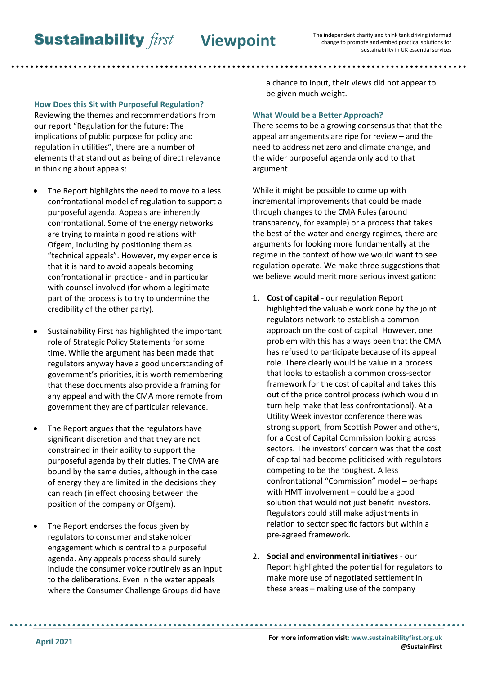**How Does this Sit with Purposeful Regulation?** Reviewing the themes and recommendations from our report "Regulation for the future: The implications of public purpose for policy and regulation in utilities", there are a number of elements that stand out as being of direct relevance in thinking about appeals:

- The Report highlights the need to move to a less confrontational model of regulation to support a purposeful agenda. Appeals are inherently confrontational. Some of the energy networks are trying to maintain good relations with Ofgem, including by positioning them as "technical appeals". However, my experience is that it is hard to avoid appeals becoming confrontational in practice - and in particular with counsel involved (for whom a legitimate part of the process is to try to undermine the credibility of the other party).
- Sustainability First has highlighted the important role of Strategic Policy Statements for some time. While the argument has been made that regulators anyway have a good understanding of government's priorities, it is worth remembering that these documents also provide a framing for any appeal and with the CMA more remote from government they are of particular relevance.
- The Report argues that the regulators have significant discretion and that they are not constrained in their ability to support the purposeful agenda by their duties. The CMA are bound by the same duties, although in the case of energy they are limited in the decisions they can reach (in effect choosing between the position of the company or Ofgem).
- The Report endorses the focus given by regulators to consumer and stakeholder engagement which is central to a purposeful agenda. Any appeals process should surely include the consumer voice routinely as an input to the deliberations. Even in the water appeals where the Consumer Challenge Groups did have

a chance to input, their views did not appear to be given much weight.

## **What Would be a Better Approach?**

There seems to be a growing consensus that that the appeal arrangements are ripe for review – and the need to address net zero and climate change, and the wider purposeful agenda only add to that argument.

While it might be possible to come up with incremental improvements that could be made through changes to the CMA Rules (around transparency, for example) or a process that takes the best of the water and energy regimes, there are arguments for looking more fundamentally at the regime in the context of how we would want to see regulation operate. We make three suggestions that we believe would merit more serious investigation:

- 1. **Cost of capital** our regulation Report highlighted the valuable work done by the joint regulators network to establish a common approach on the cost of capital. However, one problem with this has always been that the CMA has refused to participate because of its appeal role. There clearly would be value in a process that looks to establish a common cross-sector framework for the cost of capital and takes this out of the price control process (which would in turn help make that less confrontational). At a Utility Week investor conference there was strong support, from Scottish Power and others, for a Cost of Capital Commission looking across sectors. The investors' concern was that the cost of capital had become politicised with regulators competing to be the toughest. A less confrontational "Commission" model – perhaps with HMT involvement – could be a good solution that would not just benefit investors. Regulators could still make adjustments in relation to sector specific factors but within a pre-agreed framework.
- 2. **Social and environmental initiatives** our Report highlighted the potential for regulators to make more use of negotiated settlement in these areas – making use of the company